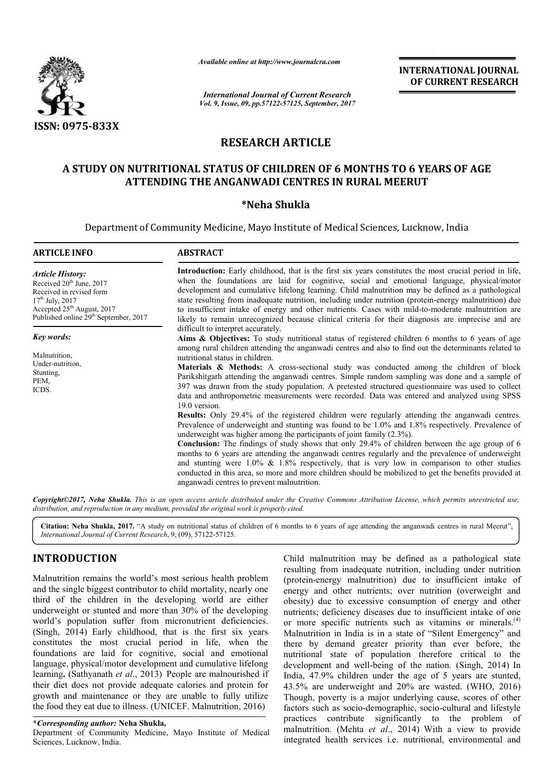

*Available online at http://www.journal http://www.journalcra.com*

# **RESEARCH ARTICLE**

## **A STUDY ON NUTRITIONAL STATUS OF CHILDREN OF 6 MONTHS TO 6 YEARS OF AGE**  A STUDY ON NUTRITIONAL STATUS OF CHILDREN OF 6 MONTHS TO 6 YI<br>ATTENDING THE ANGANWADI CENTRES IN RURAL MEERUT

### **\*Neha Shukla**

|                                                                                                                                                                                                                                                                                                                                                                                                                                                                                                                                                                                                                                                                                                                                                                                                                                                                                                                      | unuvic vinine ui nup.//www.jvurnuicru.com                                                                                                                                                                                                                                                                                                                                                                                                                                                                                                                                                                                                                                                                                                                               |                                                                                                                                                                                                                                                                                                                                                                                                                                                                                                                                                                                                                                 | <b>INTERNATIONAL JOURNAL</b><br>OF CURRENT RESEARCH                                                                                                                                                                                                                                                                                                                                                                                                                                                                                                                                                                                                                                                                                                                                                                                                                                                                                                                                                                                           |  |  |
|----------------------------------------------------------------------------------------------------------------------------------------------------------------------------------------------------------------------------------------------------------------------------------------------------------------------------------------------------------------------------------------------------------------------------------------------------------------------------------------------------------------------------------------------------------------------------------------------------------------------------------------------------------------------------------------------------------------------------------------------------------------------------------------------------------------------------------------------------------------------------------------------------------------------|-------------------------------------------------------------------------------------------------------------------------------------------------------------------------------------------------------------------------------------------------------------------------------------------------------------------------------------------------------------------------------------------------------------------------------------------------------------------------------------------------------------------------------------------------------------------------------------------------------------------------------------------------------------------------------------------------------------------------------------------------------------------------|---------------------------------------------------------------------------------------------------------------------------------------------------------------------------------------------------------------------------------------------------------------------------------------------------------------------------------------------------------------------------------------------------------------------------------------------------------------------------------------------------------------------------------------------------------------------------------------------------------------------------------|-----------------------------------------------------------------------------------------------------------------------------------------------------------------------------------------------------------------------------------------------------------------------------------------------------------------------------------------------------------------------------------------------------------------------------------------------------------------------------------------------------------------------------------------------------------------------------------------------------------------------------------------------------------------------------------------------------------------------------------------------------------------------------------------------------------------------------------------------------------------------------------------------------------------------------------------------------------------------------------------------------------------------------------------------|--|--|
|                                                                                                                                                                                                                                                                                                                                                                                                                                                                                                                                                                                                                                                                                                                                                                                                                                                                                                                      |                                                                                                                                                                                                                                                                                                                                                                                                                                                                                                                                                                                                                                                                                                                                                                         | <b>International Journal of Current Research</b><br>Vol. 9, Issue, 09, pp.57122-57125, September, 2017                                                                                                                                                                                                                                                                                                                                                                                                                                                                                                                          |                                                                                                                                                                                                                                                                                                                                                                                                                                                                                                                                                                                                                                                                                                                                                                                                                                                                                                                                                                                                                                               |  |  |
| ISSN: 0975-833X                                                                                                                                                                                                                                                                                                                                                                                                                                                                                                                                                                                                                                                                                                                                                                                                                                                                                                      |                                                                                                                                                                                                                                                                                                                                                                                                                                                                                                                                                                                                                                                                                                                                                                         |                                                                                                                                                                                                                                                                                                                                                                                                                                                                                                                                                                                                                                 |                                                                                                                                                                                                                                                                                                                                                                                                                                                                                                                                                                                                                                                                                                                                                                                                                                                                                                                                                                                                                                               |  |  |
|                                                                                                                                                                                                                                                                                                                                                                                                                                                                                                                                                                                                                                                                                                                                                                                                                                                                                                                      |                                                                                                                                                                                                                                                                                                                                                                                                                                                                                                                                                                                                                                                                                                                                                                         | <b>RESEARCH ARTICLE</b>                                                                                                                                                                                                                                                                                                                                                                                                                                                                                                                                                                                                         |                                                                                                                                                                                                                                                                                                                                                                                                                                                                                                                                                                                                                                                                                                                                                                                                                                                                                                                                                                                                                                               |  |  |
|                                                                                                                                                                                                                                                                                                                                                                                                                                                                                                                                                                                                                                                                                                                                                                                                                                                                                                                      | A STUDY ON NUTRITIONAL STATUS OF CHILDREN OF 6 MONTHS TO 6 YEARS OF AGE<br>ATTENDING THE ANGANWADI CENTRES IN RURAL MEERUT                                                                                                                                                                                                                                                                                                                                                                                                                                                                                                                                                                                                                                              |                                                                                                                                                                                                                                                                                                                                                                                                                                                                                                                                                                                                                                 |                                                                                                                                                                                                                                                                                                                                                                                                                                                                                                                                                                                                                                                                                                                                                                                                                                                                                                                                                                                                                                               |  |  |
|                                                                                                                                                                                                                                                                                                                                                                                                                                                                                                                                                                                                                                                                                                                                                                                                                                                                                                                      |                                                                                                                                                                                                                                                                                                                                                                                                                                                                                                                                                                                                                                                                                                                                                                         | *Neha Shukla                                                                                                                                                                                                                                                                                                                                                                                                                                                                                                                                                                                                                    |                                                                                                                                                                                                                                                                                                                                                                                                                                                                                                                                                                                                                                                                                                                                                                                                                                                                                                                                                                                                                                               |  |  |
|                                                                                                                                                                                                                                                                                                                                                                                                                                                                                                                                                                                                                                                                                                                                                                                                                                                                                                                      | Department of Community Medicine, Mayo Institute of Medical Sciences, Lucknow, India                                                                                                                                                                                                                                                                                                                                                                                                                                                                                                                                                                                                                                                                                    |                                                                                                                                                                                                                                                                                                                                                                                                                                                                                                                                                                                                                                 |                                                                                                                                                                                                                                                                                                                                                                                                                                                                                                                                                                                                                                                                                                                                                                                                                                                                                                                                                                                                                                               |  |  |
| <b>ARTICLE INFO</b>                                                                                                                                                                                                                                                                                                                                                                                                                                                                                                                                                                                                                                                                                                                                                                                                                                                                                                  | <b>ABSTRACT</b>                                                                                                                                                                                                                                                                                                                                                                                                                                                                                                                                                                                                                                                                                                                                                         |                                                                                                                                                                                                                                                                                                                                                                                                                                                                                                                                                                                                                                 |                                                                                                                                                                                                                                                                                                                                                                                                                                                                                                                                                                                                                                                                                                                                                                                                                                                                                                                                                                                                                                               |  |  |
| <b>Article History:</b><br>Received 20 <sup>th</sup> June, 2017<br>Received in revised form<br>$17^{th}$ July, 2017<br>Accepted 25 <sup>th</sup> August, 2017<br>Published online 29 <sup>th</sup> September, 2017                                                                                                                                                                                                                                                                                                                                                                                                                                                                                                                                                                                                                                                                                                   |                                                                                                                                                                                                                                                                                                                                                                                                                                                                                                                                                                                                                                                                                                                                                                         | Introduction: Early childhood, that is the first six years constitutes the most crucial period in life,<br>when the foundations are laid for cognitive, social and emotional language, physical/motor<br>development and cumulative lifelong learning. Child malnutrition may be defined as a pathological<br>state resulting from inadequate nutrition, including under nutrition (protein-energy malnutrition) due<br>to insufficient intake of energy and other nutrients. Cases with mild-to-moderate malnutrition are<br>likely to remain unrecognized because clinical criteria for their diagnosis are imprecise and are |                                                                                                                                                                                                                                                                                                                                                                                                                                                                                                                                                                                                                                                                                                                                                                                                                                                                                                                                                                                                                                               |  |  |
| Key words:<br>Malnutrition,<br>Under-nutrition,<br>Stunting,<br>PEM,<br>ICDS.                                                                                                                                                                                                                                                                                                                                                                                                                                                                                                                                                                                                                                                                                                                                                                                                                                        | difficult to interpret accurately.<br>Aims & Objectives: To study nutritional status of registered children 6 months to 6 years of age<br>among rural children attending the anganwadi centres and also to find out the determinants related to<br>nutritional status in children.<br>Materials & Methods: A cross-sectional study was conducted among the children of block<br>Parikshitgarh attending the anganwadi centres. Simple random sampling was done and a sample of<br>397 was drawn from the study population. A pretested structured questionnaire was used to collect<br>data and anthropometric measurements were recorded. Data was entered and analyzed using SPSS                                                                                     |                                                                                                                                                                                                                                                                                                                                                                                                                                                                                                                                                                                                                                 |                                                                                                                                                                                                                                                                                                                                                                                                                                                                                                                                                                                                                                                                                                                                                                                                                                                                                                                                                                                                                                               |  |  |
|                                                                                                                                                                                                                                                                                                                                                                                                                                                                                                                                                                                                                                                                                                                                                                                                                                                                                                                      | 19.0 version.<br>Results: Only 29.4% of the registered children were regularly attending the anganwadi centres.<br>Prevalence of underweight and stunting was found to be 1.0% and 1.8% respectively. Prevalence of<br>underweight was higher among the participants of joint family $(2.3\%)$ .<br><b>Conclusion:</b> The findings of study shows that only 29.4% of children between the age group of 6<br>months to 6 years are attending the anganwadi centres regularly and the prevalence of underweight<br>and stunting were $1.0\%$ & 1.8% respectively, that is very low in comparison to other studies<br>conducted in this area, so more and more children should be mobilized to get the benefits provided at<br>anganwadi centres to prevent malnutrition. |                                                                                                                                                                                                                                                                                                                                                                                                                                                                                                                                                                                                                                 |                                                                                                                                                                                                                                                                                                                                                                                                                                                                                                                                                                                                                                                                                                                                                                                                                                                                                                                                                                                                                                               |  |  |
|                                                                                                                                                                                                                                                                                                                                                                                                                                                                                                                                                                                                                                                                                                                                                                                                                                                                                                                      | distribution, and reproduction in any medium, provided the original work is properly cited.                                                                                                                                                                                                                                                                                                                                                                                                                                                                                                                                                                                                                                                                             |                                                                                                                                                                                                                                                                                                                                                                                                                                                                                                                                                                                                                                 | Copyright©2017, Neha Shukla. This is an open access article distributed under the Creative Commons Attribution License, which permits unrestricted use,                                                                                                                                                                                                                                                                                                                                                                                                                                                                                                                                                                                                                                                                                                                                                                                                                                                                                       |  |  |
| International Journal of Current Research, 9, (09), 57122-57125.                                                                                                                                                                                                                                                                                                                                                                                                                                                                                                                                                                                                                                                                                                                                                                                                                                                     |                                                                                                                                                                                                                                                                                                                                                                                                                                                                                                                                                                                                                                                                                                                                                                         |                                                                                                                                                                                                                                                                                                                                                                                                                                                                                                                                                                                                                                 | Citation: Neha Shukla, 2017. "A study on nutritional status of children of 6 months to 6 years of age attending the anganwadi centres in rural Meerut",                                                                                                                                                                                                                                                                                                                                                                                                                                                                                                                                                                                                                                                                                                                                                                                                                                                                                       |  |  |
| <b>INTRODUCTION</b><br>Malnutrition remains the world's most serious health problem<br>and the single biggest contributor to child mortality, nearly one<br>third of the children in the developing world are either<br>underweight or stunted and more than 30% of the developing<br>world's population suffer from micronutrient deficiencies.<br>(Singh, 2014) Early childhood, that is the first six years<br>constitutes the most crucial period in life, when the<br>foundations are laid for cognitive, social and emotional<br>language, physical/motor development and cumulative lifelong<br>learning. (Sathyanath et al., 2013) People are malnourished if<br>their diet does not provide adequate calories and protein for<br>growth and maintenance or they are unable to fully utilize<br>the food they eat due to illness. (UNICEF. Malnutrition, 2016)<br><i>*Corresponding author: Neha Shukla,</i> |                                                                                                                                                                                                                                                                                                                                                                                                                                                                                                                                                                                                                                                                                                                                                                         |                                                                                                                                                                                                                                                                                                                                                                                                                                                                                                                                                                                                                                 | Child malnutrition may be defined as a pathological state<br>resulting from inadequate nutrition, including under nutrition<br>(protein-energy malnutrition) due to insufficient intake of<br>energy and other nutrients; over nutrition (overweight and<br>obesity) due to excessive consumption of energy and other<br>nutrients; deficiency diseases due to insufficient intake of one<br>or more specific nutrients such as vitamins or minerals. <sup>(4)</sup><br>Malnutrition in India is in a state of "Silent Emergency" and<br>there by demand greater priority than ever before, the<br>nutritional state of population therefore critical to the<br>development and well-being of the nation. (Singh, 2014) In<br>India, 47.9% children under the age of 5 years are stunted,<br>43.5% are underweight and 20% are wasted. (WHO, 2016)<br>Though, poverty is a major underlying cause, scores of other<br>factors such as socio-demographic, socio-cultural and lifestyle<br>practices contribute significantly to the problem of |  |  |
| Department of Community Medicine, Mayo Institute of Medical<br>Sciences, Lucknow, India.                                                                                                                                                                                                                                                                                                                                                                                                                                                                                                                                                                                                                                                                                                                                                                                                                             |                                                                                                                                                                                                                                                                                                                                                                                                                                                                                                                                                                                                                                                                                                                                                                         |                                                                                                                                                                                                                                                                                                                                                                                                                                                                                                                                                                                                                                 | malnutrition. (Mehta et al., 2014) With a view to provide<br>integrated health services i.e. nutritional, environmental and                                                                                                                                                                                                                                                                                                                                                                                                                                                                                                                                                                                                                                                                                                                                                                                                                                                                                                                   |  |  |

# **INTRODUCTION**

## **\****Corresponding author:* **Neha Shukla,**

Department of Community Medicine, Mayo Institute of Medical Sciences, Lucknow, India.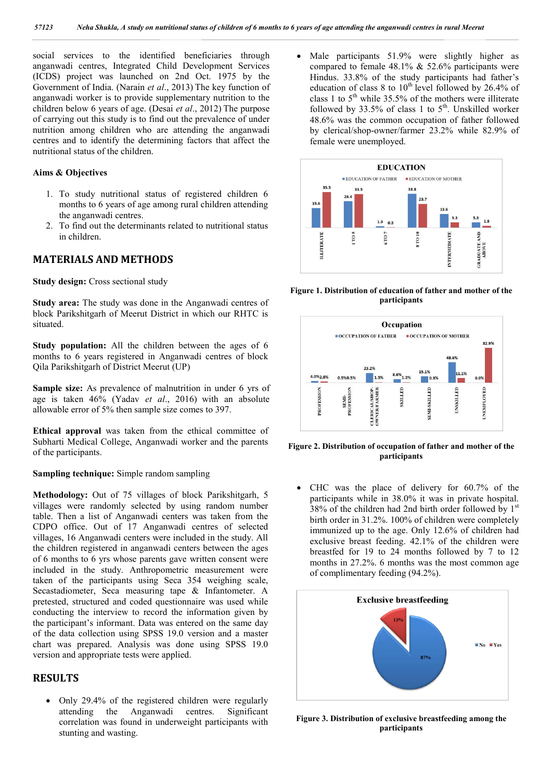social services to the identified beneficiaries through anganwadi centres, Integrated Child Development Services (ICDS) project was launched on 2nd Oct. 1975 by the Government of India. (Narain *et al*., 2013) The key function of anganwadi worker is to provide supplementary nutrition to the children below 6 years of age. (Desai *et al*., 2012) The purpose of carrying out this study is to find out the prevalence of under nutrition among children who are attending the anganwadi centres and to identify the determining factors that affect the nutritional status of the children.

#### **Aims & Objectives**

- 1. To study nutritional status of registered children 6 months to 6 years of age among rural children attending the anganwadi centres.
- 2. To find out the determinants related to nutritional status in children.

### **MATERIALS AND METHODS**

**Study design:** Cross sectional study

**Study area:** The study was done in the Anganwadi centres of block Parikshitgarh of Meerut District in which our RHTC is situated.

**Study population:** All the children between the ages of 6 months to 6 years registered in Anganwadi centres of block Qila Parikshitgarh of District Meerut (UP)

**Sample size:** As prevalence of malnutrition in under 6 yrs of age is taken 46% (Yadav *et al*., 2016) with an absolute allowable error of 5% then sample size comes to 397.

**Ethical approval** was taken from the ethical committee of Subharti Medical College, Anganwadi worker and the parents of the participants.

**Sampling technique:** Simple random sampling

**Methodology:** Out of 75 villages of block Parikshitgarh, 5 villages were randomly selected by using random number table. Then a list of Anganwadi centers was taken from the CDPO office. Out of 17 Anganwadi centres of selected villages, 16 Anganwadi centers were included in the study. All the children registered in anganwadi centers between the ages of 6 months to 6 yrs whose parents gave written consent were included in the study. Anthropometric measurement were taken of the participants using Seca 354 weighing scale, Secastadiometer, Seca measuring tape & Infantometer. A pretested, structured and coded questionnaire was used while conducting the interview to record the information given by the participant's informant. Data was entered on the same day of the data collection using SPSS 19.0 version and a master chart was prepared. Analysis was done using SPSS 19.0 version and appropriate tests were applied.

### **RESULTS**

• Only 29.4% of the registered children were regularly attending the Anganwadi centres. Significant attending the Anganwadi centres. correlation was found in underweight participants with stunting and wasting.

• Male participants 51.9% were slightly higher as compared to female 48.1% & 52.6% participants were Hindus. 33.8% of the study participants had father's education of class 8 to  $10^{th}$  level followed by 26.4% of class 1 to  $5<sup>th</sup>$  while 35.5% of the mothers were illiterate followed by  $33.5\%$  of class 1 to  $5<sup>th</sup>$ . Unskilled worker 48.6% was the common occupation of father followed by clerical/shop-owner/farmer 23.2% while 82.9% of female were unemployed.



**Figure 1. Distribution of education of father and mother of the participants**



**Figure 2. Distribution of occupation of father and mother of the participants**

 CHC was the place of delivery for 60.7% of the participants while in 38.0% it was in private hospital. 38% of the children had 2nd birth order followed by  $1<sup>st</sup>$ birth order in 31.2%. 100% of children were completely immunized up to the age. Only 12.6% of children had exclusive breast feeding. 42.1% of the children were breastfed for 19 to 24 months followed by 7 to 12 months in 27.2%. 6 months was the most common age of complimentary feeding (94.2%).



**Figure 3. Distribution of exclusive breastfeeding among the participants**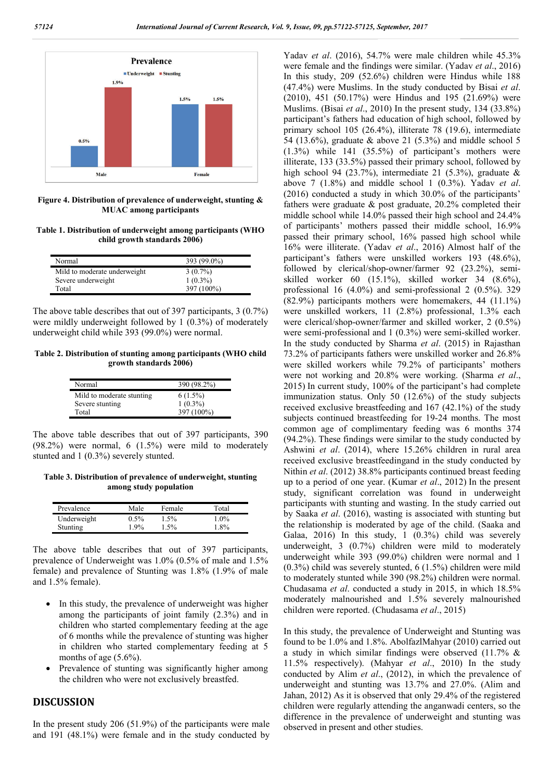

**Figure 4. Distribution of prevalence of underweight, stunting & MUAC among participants**

**Table 1. Distribution of underweight among participants (WHO child growth standards 2006)**

| Normal                       | 393 (99.0%)              |
|------------------------------|--------------------------|
| Mild to moderate underweight | $3(0.7\%)$               |
| Severe underweight<br>Total  | $1(0.3\%)$<br>397 (100%) |

The above table describes that out of 397 participants, 3 (0.7%) were mildly underweight followed by 1 (0.3%) of moderately underweight child while 393 (99.0%) were normal.

**Table 2. Distribution of stunting among participants (WHO child growth standards 2006)**

| Normal                    | 390 (98.2%) |
|---------------------------|-------------|
| Mild to moderate stunting | $6(1.5\%)$  |
| Severe stunting           | $1(0.3\%)$  |
| Total                     | 397 (100%)  |

The above table describes that out of 397 participants, 390 (98.2%) were normal, 6 (1.5%) were mild to moderately stunted and 1 (0.3%) severely stunted.

**Table 3. Distribution of prevalence of underweight, stunting among study population**

| Prevalence  | Male    | Female  | Total   |
|-------------|---------|---------|---------|
| Underweight | $0.5\%$ | $1.5\%$ | $1.0\%$ |
| Stunting    | $1.9\%$ | 1.5%    | 1.8%    |
|             |         |         |         |

The above table describes that out of 397 participants, prevalence of Underweight was 1.0% (0.5% of male and 1.5% female) and prevalence of Stunting was 1.8% (1.9% of male and 1.5% female).

- In this study, the prevalence of underweight was higher among the participants of joint family (2.3%) and in children who started complementary feeding at the age of 6 months while the prevalence of stunting was higher in children who started complementary feeding at 5 months of age (5.6%).
- Prevalence of stunting was significantly higher among the children who were not exclusively breastfed.

#### **DISCUSSION**

In the present study 206 (51.9%) of the participants were male and 191 (48.1%) were female and in the study conducted by Yadav *et al*. (2016), 54.7% were male children while 45.3% were female and the findings were similar. (Yadav *et al*., 2016) In this study, 209 (52.6%) children were Hindus while 188 (47.4%) were Muslims. In the study conducted by Bisai *et al*. (2010), 451 (50.17%) were Hindus and 195 (21.69%) were Muslims. (Bisai *et al*., 2010) In the present study, 134 (33.8%) participant's fathers had education of high school, followed by primary school 105 (26.4%), illiterate 78 (19.6), intermediate 54 (13.6%), graduate & above 21 (5.3%) and middle school 5 (1.3%) while 141 (35.5%) of participant's mothers were illiterate, 133 (33.5%) passed their primary school, followed by high school 94 (23.7%), intermediate 21 (5.3%), graduate & above 7 (1.8%) and middle school 1 (0.3%). Yadav *et al*. (2016) conducted a study in which 30.0% of the participants' fathers were graduate & post graduate, 20.2% completed their middle school while 14.0% passed their high school and 24.4% of participants' mothers passed their middle school, 16.9% passed their primary school, 16% passed high school while 16% were illiterate. (Yadav *et al*., 2016) Almost half of the participant's fathers were unskilled workers 193 (48.6%), followed by clerical/shop-owner/farmer 92 (23.2%), semiskilled worker 60 (15.1%), skilled worker 34 (8.6%), professional 16 (4.0%) and semi-professional 2 (0.5%). 329 (82.9%) participants mothers were homemakers, 44 (11.1%) were unskilled workers, 11 (2.8%) professional, 1.3% each were clerical/shop-owner/farmer and skilled worker, 2 (0.5%) were semi-professional and 1 (0.3%) were semi-skilled worker. In the study conducted by Sharma *et al*. (2015) in Rajasthan 73.2% of participants fathers were unskilled worker and 26.8% were skilled workers while 79.2% of participants' mothers were not working and 20.8% were working. (Sharma *et al*., 2015) In current study, 100% of the participant's had complete immunization status. Only 50 (12.6%) of the study subjects received exclusive breastfeeding and 167 (42.1%) of the study subjects continued breastfeeding for 19-24 months. The most common age of complimentary feeding was 6 months 374 (94.2%). These findings were similar to the study conducted by Ashwini *et al*. (2014), where 15.26% children in rural area received exclusive breastfeedingand in the study conducted by Nithin *et al*. (2012) 38.8% participants continued breast feeding up to a period of one year. (Kumar *et al*., 2012) In the present study, significant correlation was found in underweight participants with stunting and wasting. In the study carried out by Saaka *et al*. (2016), wasting is associated with stunting but the relationship is moderated by age of the child. (Saaka and Galaa, 2016) In this study, 1 (0.3%) child was severely underweight, 3 (0.7%) children were mild to moderately underweight while 393 (99.0%) children were normal and 1 (0.3%) child was severely stunted, 6 (1.5%) children were mild to moderately stunted while 390 (98.2%) children were normal. Chudasama *et al*. conducted a study in 2015, in which 18.5% moderately malnourished and 1.5% severely malnourished children were reported. (Chudasama *et al*., 2015)

In this study, the prevalence of Underweight and Stunting was found to be 1.0% and 1.8%. AbolfazlMahyar (2010) carried out a study in which similar findings were observed (11.7% & 11.5% respectively). (Mahyar *et al*., 2010) In the study conducted by Alim *et al*., (2012), in which the prevalence of underweight and stunting was 13.7% and 27.0%. (Alim and Jahan, 2012) As it is observed that only 29.4% of the registered children were regularly attending the anganwadi centers, so the difference in the prevalence of underweight and stunting was observed in present and other studies.